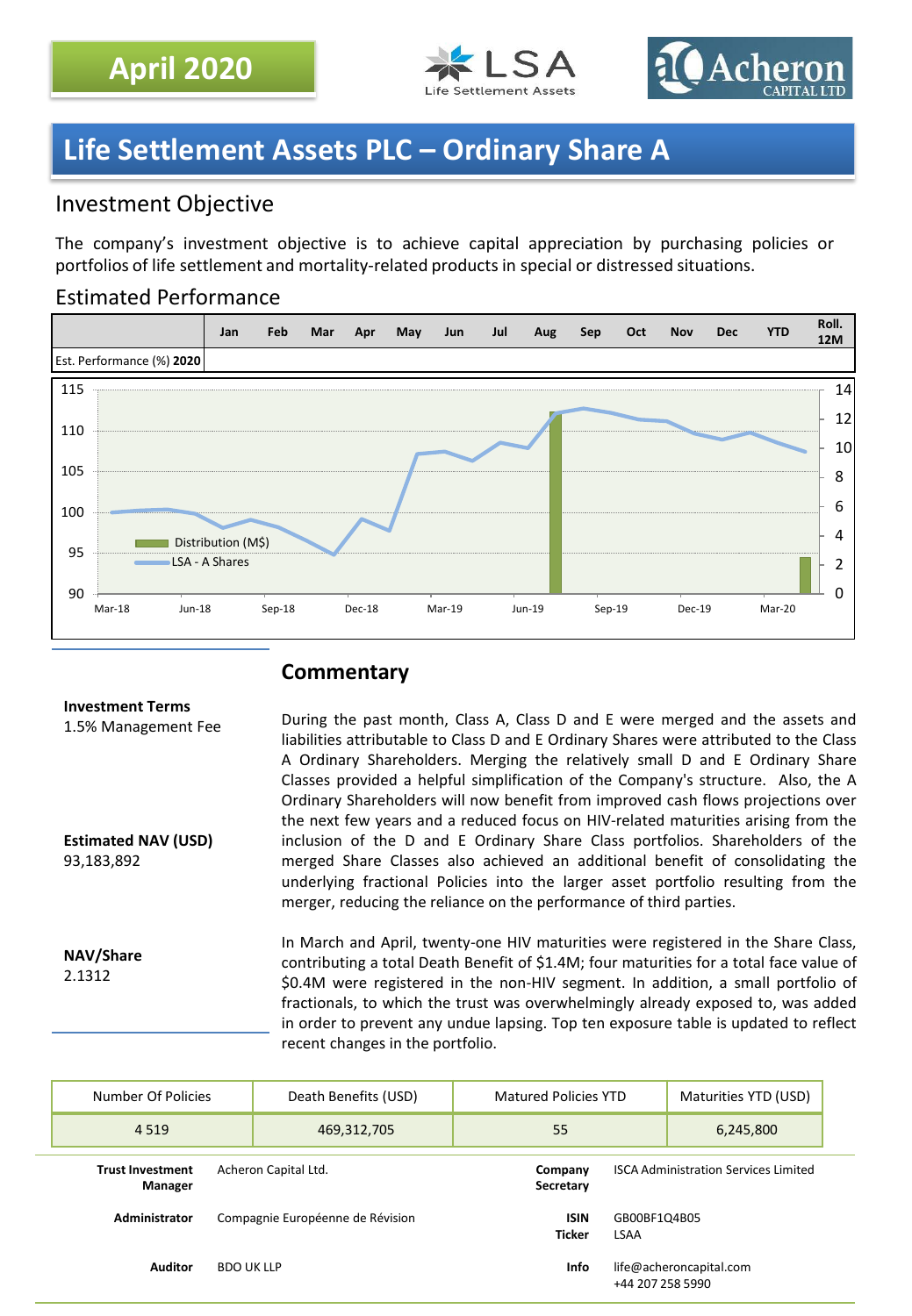



# **Life Settlement Assets PLC – Ordinary Share A**

## Investment Objective

The company's investment objective is to achieve capital appreciation by purchasing policies or portfolios of life settlement and mortality-related products in special or distressed situations.

## Estimated Performance



## **Commentary**

#### **Investment Terms**

1.5% Management Fee

**Estimated NAV (USD)** 93,183,892

During the past month, Class A, Class D and E were merged and the assets and liabilities attributable to Class D and E Ordinary Shares were attributed to the Class A Ordinary Shareholders. Merging the relatively small D and E Ordinary Share Classes provided a helpful simplification of the Company's structure. Also, the A Ordinary Shareholders will now benefit from improved cash flows projections over the next few years and a reduced focus on HIV-related maturities arising from the inclusion of the D and E Ordinary Share Class portfolios. Shareholders of the merged Share Classes also achieved an additional benefit of consolidating the underlying fractional Policies into the larger asset portfolio resulting from the merger, reducing the reliance on the performance of third parties.

**NAV/Share** 2.1312

In March and April, twenty-one HIV maturities were registered in the Share Class, contributing a total Death Benefit of \$1.4M; four maturities for a total face value of \$0.4M were registered in the non-HIV segment. In addition, a small portfolio of fractionals, to which the trust was overwhelmingly already exposed to, was added in order to prevent any undue lapsing. Top ten exposure table is updated to reflect recent changes in the portfolio.

| Number Of Policies                                         | Death Benefits (USD)             | <b>Matured Policies YTD</b>                 |                                             | Maturities YTD (USD) |
|------------------------------------------------------------|----------------------------------|---------------------------------------------|---------------------------------------------|----------------------|
| 4 5 1 9                                                    | 469,312,705                      | 55                                          |                                             | 6,245,800            |
| Acheron Capital Ltd.<br><b>Trust Investment</b><br>Manager | Company<br>Secretary             | <b>ISCA Administration Services Limited</b> |                                             |                      |
| Administrator                                              | Compagnie Européenne de Révision | <b>ISIN</b><br><b>Ticker</b>                | GB00BF1Q4B05<br><b>LSAA</b>                 |                      |
| <b>Auditor</b>                                             | <b>BDO UK LLP</b>                | Info                                        | life@acheroncapital.com<br>+44 207 258 5990 |                      |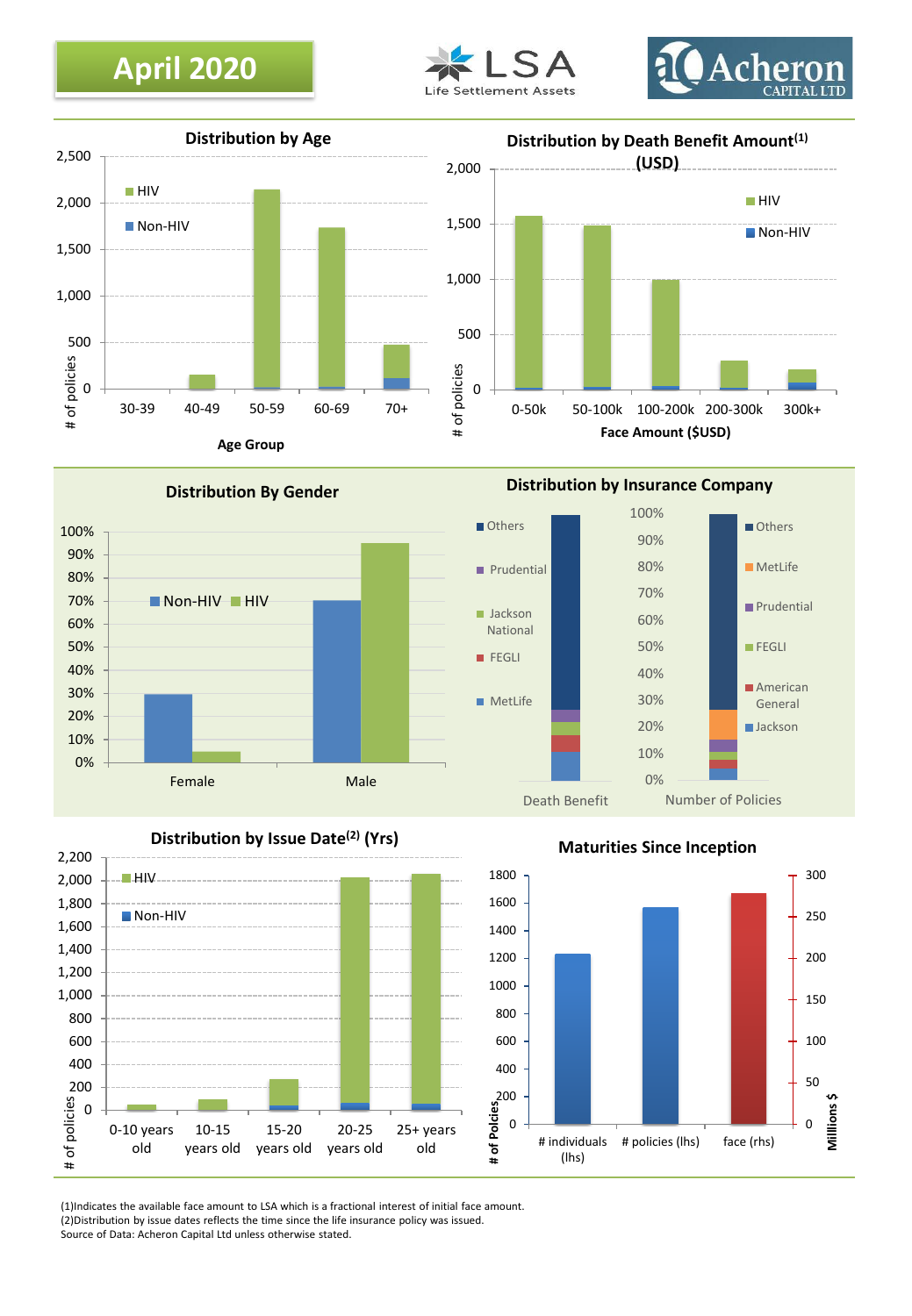# **April 2020**







0% 10% 20% 30% 40% 50% 60% 70% 80% 90% 100% Female Male **Distribution By Gender** Non-HIV HIV

**Distribution by Insurance Company**



## **Distribution by Issue Date(2) (Yrs)**



**Maturities Since Inception**



(1)Indicates the available face amount to LSA which is a fractional interest of initial face amount. (2)Distribution by issue dates reflects the time since the life insurance policy was issued. Source of Data: Acheron Capital Ltd unless otherwise stated.